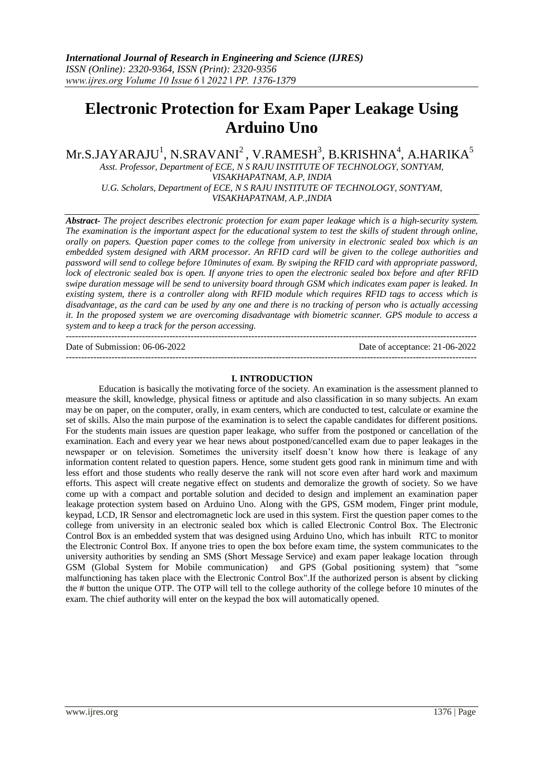# **Electronic Protection for Exam Paper Leakage Using Arduino Uno**

 $\rm{Mr.S.JAYARAJU}^{1}, \rm{N.SRAVANI}^{2}, \rm{V.RAMESH}^{3}, \rm{B.KRISHNA}^{4}, \rm{A.HARIKA}^{5}$ 

*Asst. Professor, Department of ECE, N S RAJU INSTITUTE OF TECHNOLOGY, SONTYAM, VISAKHAPATNAM, A.P, INDIA U.G. Scholars, Department of ECE, N S RAJU INSTITUTE OF TECHNOLOGY, SONTYAM,* 

*VISAKHAPATNAM, A.P.,INDIA*

*Abstract- The project describes electronic protection for exam paper leakage which is a high-security system. The examination is the important aspect for the educational system to test the skills of student through online, orally on papers. Question paper comes to the college from university in electronic sealed box which is an embedded system designed with ARM processor. An RFID card will be given to the college authorities and password will send to college before 10minutes of exam. By swiping the RFID card with appropriate password, lock of electronic sealed box is open. If anyone tries to open the electronic sealed box before and after RFID swipe duration message will be send to university board through GSM which indicates exam paper is leaked. In existing system, there is a controller along with RFID module which requires RFID tags to access which is disadvantage, as the card can be used by any one and there is no tracking of person who is actually accessing it. In the proposed system we are overcoming disadvantage with biometric scanner. GPS module to access a system and to keep a track for the person accessing.* ---------------------------------------------------------------------------------------------------------------------------------------

Date of Submission: 06-06-2022 Date of acceptance: 21-06-2022 ---------------------------------------------------------------------------------------------------------------------------------------

### **I. INTRODUCTION**

Education is basically the motivating force of the society. An examination is the assessment planned to measure the skill, knowledge, physical fitness or aptitude and also classification in so many subjects. An exam may be on paper, on the computer, orally, in exam centers, which are conducted to test, calculate or examine the set of skills. Also the main purpose of the examination is to select the capable candidates for different positions. For the students main issues are question paper leakage, who suffer from the postponed or cancellation of the examination. Each and every year we hear news about postponed/cancelled exam due to paper leakages in the newspaper or on television. Sometimes the university itself doesn't know how there is leakage of any information content related to question papers. Hence, some student gets good rank in minimum time and with less effort and those students who really deserve the rank will not score even after hard work and maximum efforts. This aspect will create negative effect on students and demoralize the growth of society. So we have come up with a compact and portable solution and decided to design and implement an examination paper leakage protection system based on Arduino Uno. Along with the GPS, GSM modem, Finger print module, keypad, LCD, IR Sensor and electromagnetic lock are used in this system. First the question paper comes to the college from university in an electronic sealed box which is called Electronic Control Box. The Electronic Control Box is an embedded system that was designed using Arduino Uno, which has inbuilt RTC to monitor the Electronic Control Box. If anyone tries to open the box before exam time, the system communicates to the university authorities by sending an SMS (Short Message Service) and exam paper leakage location through GSM (Global System for Mobile communication) and GPS (Gobal positioning system) that "some malfunctioning has taken place with the Electronic Control Box".If the authorized person is absent by clicking the # button the unique OTP. The OTP will tell to the college authority of the college before 10 minutes of the exam. The chief authority will enter on the keypad the box will automatically opened.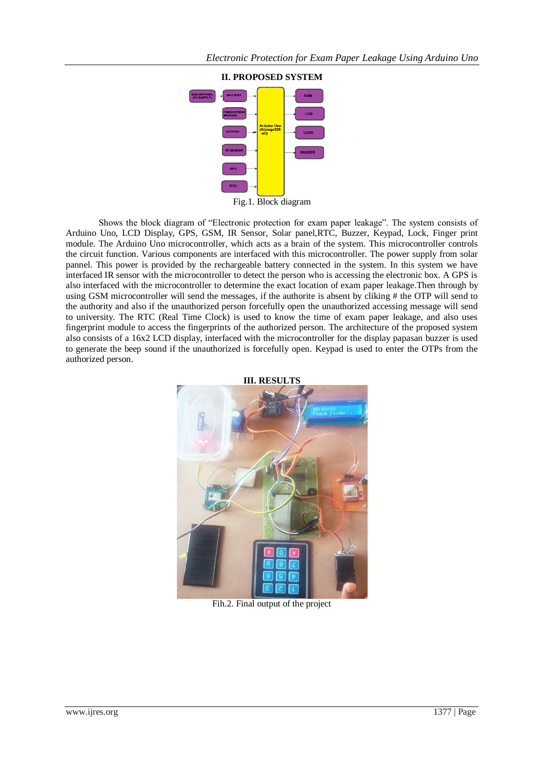

Shows the block diagram of "Electronic protection for exam paper leakage". The system consists of Arduino Uno, LCD Display, GPS, GSM, IR Sensor, Solar panel,RTC, Buzzer, Keypad, Lock, Finger print module. The Arduino Uno microcontroller, which acts as a brain of the system. This microcontroller controls the circuit function. Various components are interfaced with this microcontroller. The power supply from solar pannel. This power is provided by the rechargeable battery connected in the system. In this system we have interfaced IR sensor with the microcontroller to detect the person who is accessing the electronic box. A GPS is also interfaced with the microcontroller to determine the exact location of exam paper leakage.Then through by using GSM microcontroller will send the messages, if the authorite is absent by cliking # the OTP will send to the authority and also if the unauthorized person forcefully open the unauthorized accessing message will send to university. The RTC (Real Time Clock) is used to know the time of exam paper leakage, and also uses fingerprint module to access the fingerprints of the authorized person. The architecture of the proposed system also consists of a 16x2 LCD display, interfaced with the microcontroller for the display papasan buzzer is used to generate the beep sound if the unauthorized is forcefully open. Keypad is used to enter the OTPs from the authorized person.



Fih.2. Final output of the project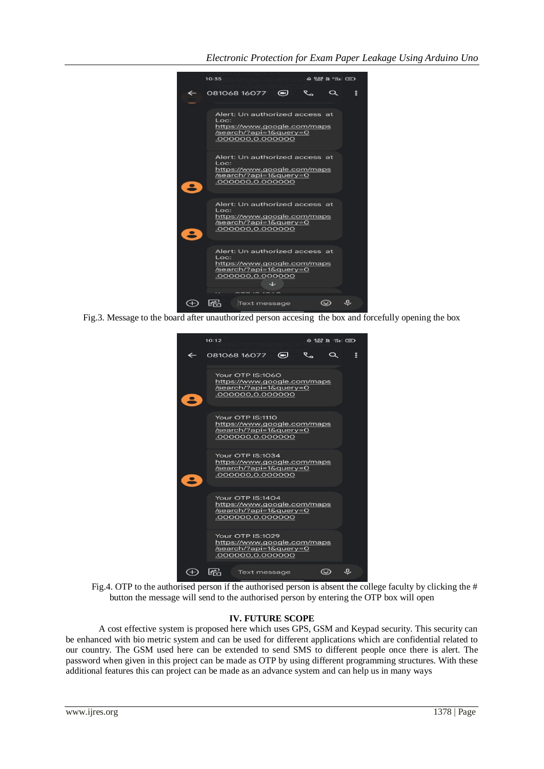

Fig.3. Message to the board after unauthorized person accesing the box and forcefully opening the box



Fig.4. OTP to the authorised person if the authorised person is absent the college faculty by clicking the # button the message will send to the authorised person by entering the OTP box will open

### **IV. FUTURE SCOPE**

A cost effective system is proposed here which uses GPS, GSM and Keypad security. This security can be enhanced with bio metric system and can be used for different applications which are confidential related to our country. The GSM used here can be extended to send SMS to different people once there is alert. The password when given in this project can be made as OTP by using different programming structures. With these additional features this can project can be made as an advance system and can help us in many ways